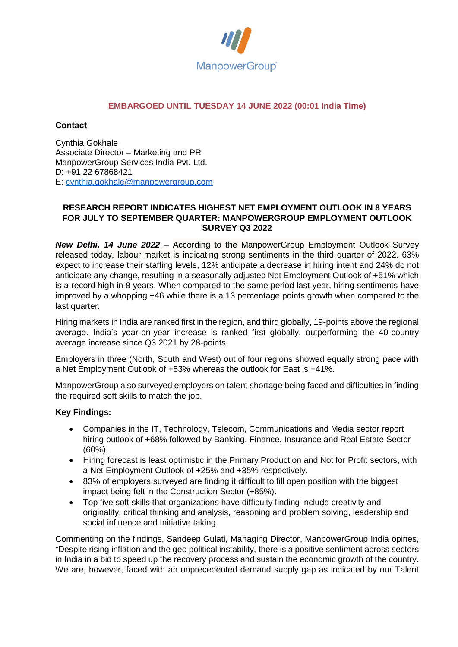

# **EMBARGOED UNTIL TUESDAY 14 JUNE 2022 (00:01 India Time)**

### **Contact**

Cynthia Gokhale Associate Director – Marketing and PR ManpowerGroup Services India Pvt. Ltd. D: +91 22 67868421 E: [cynthia.](mailto:cynthia)gokhale@manpowergroup.com

# **RESEARCH REPORT INDICATES HIGHEST NET EMPLOYMENT OUTLOOK IN 8 YEARS FOR JULY TO SEPTEMBER QUARTER: MANPOWERGROUP EMPLOYMENT OUTLOOK SURVEY Q3 2022**

*New Delhi, 14 June 2022* – According to the ManpowerGroup Employment Outlook Survey released today, labour market is indicating strong sentiments in the third quarter of 2022. 63% expect to increase their staffing levels, 12% anticipate a decrease in hiring intent and 24% do not anticipate any change, resulting in a seasonally adjusted Net Employment Outlook of +51% which is a record high in 8 years. When compared to the same period last year, hiring sentiments have improved by a whopping +46 while there is a 13 percentage points growth when compared to the last quarter.

Hiring markets in India are ranked first in the region, and third globally, 19-points above the regional average. India's year-on-year increase is ranked first globally, outperforming the 40-country average increase since Q3 2021 by 28-points.

Employers in three (North, South and West) out of four regions showed equally strong pace with a Net Employment Outlook of +53% whereas the outlook for East is +41%.

ManpowerGroup also surveyed employers on talent shortage being faced and difficulties in finding the required soft skills to match the job.

# **Key Findings:**

- Companies in the IT, Technology, Telecom, Communications and Media sector report hiring outlook of +68% followed by Banking, Finance, Insurance and Real Estate Sector (60%).
- Hiring forecast is least optimistic in the Primary Production and Not for Profit sectors, with a Net Employment Outlook of +25% and +35% respectively.
- 83% of employers surveyed are finding it difficult to fill open position with the biggest impact being felt in the Construction Sector (+85%).
- Top five soft skills that organizations have difficulty finding include creativity and originality, critical thinking and analysis, reasoning and problem solving, leadership and social influence and Initiative taking.

Commenting on the findings, Sandeep Gulati, Managing Director, ManpowerGroup India opines, "Despite rising inflation and the geo political instability, there is a positive sentiment across sectors in India in a bid to speed up the recovery process and sustain the economic growth of the country. We are, however, faced with an unprecedented demand supply gap as indicated by our Talent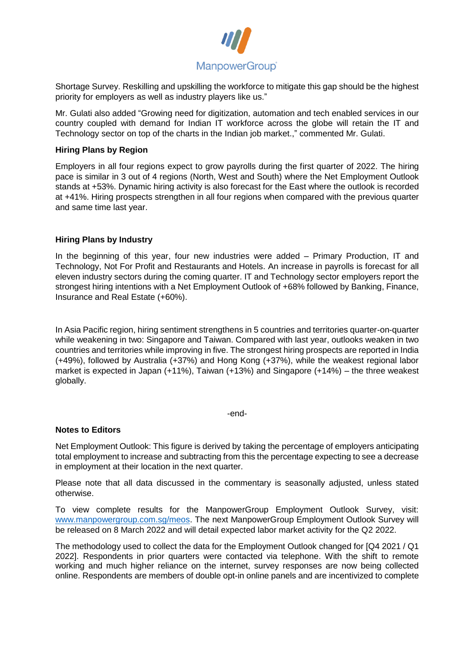

Shortage Survey. Reskilling and upskilling the workforce to mitigate this gap should be the highest priority for employers as well as industry players like us."

Mr. Gulati also added "Growing need for digitization, automation and tech enabled services in our country coupled with demand for Indian IT workforce across the globe will retain the IT and Technology sector on top of the charts in the Indian job market.," commented Mr. Gulati.

### **Hiring Plans by Region**

Employers in all four regions expect to grow payrolls during the first quarter of 2022. The hiring pace is similar in 3 out of 4 regions (North, West and South) where the Net Employment Outlook stands at +53%. Dynamic hiring activity is also forecast for the East where the outlook is recorded at +41%. Hiring prospects strengthen in all four regions when compared with the previous quarter and same time last year.

# **Hiring Plans by Industry**

In the beginning of this year, four new industries were added – Primary Production, IT and Technology, Not For Profit and Restaurants and Hotels. An increase in payrolls is forecast for all eleven industry sectors during the coming quarter. IT and Technology sector employers report the strongest hiring intentions with a Net Employment Outlook of +68% followed by Banking, Finance, Insurance and Real Estate (+60%).

In Asia Pacific region, hiring sentiment strengthens in 5 countries and territories quarter-on-quarter while weakening in two: Singapore and Taiwan. Compared with last year, outlooks weaken in two countries and territories while improving in five. The strongest hiring prospects are reported in India (+49%), followed by Australia (+37%) and Hong Kong (+37%), while the weakest regional labor market is expected in Japan (+11%), Taiwan (+13%) and Singapore (+14%) – the three weakest globally.

-end-

# **Notes to Editors**

Net Employment Outlook: This figure is derived by taking the percentage of employers anticipating total employment to increase and subtracting from this the percentage expecting to see a decrease in employment at their location in the next quarter.

Please note that all data discussed in the commentary is seasonally adjusted, unless stated otherwise.

To view complete results for the ManpowerGroup Employment Outlook Survey, visit: [www.manpowergroup.com.sg/meos.](http://www.manpowergroup.com.sg/meos) The next ManpowerGroup Employment Outlook Survey will be released on 8 March 2022 and will detail expected labor market activity for the Q2 2022.

The methodology used to collect the data for the Employment Outlook changed for [Q4 2021 / Q1 2022]. Respondents in prior quarters were contacted via telephone. With the shift to remote working and much higher reliance on the internet, survey responses are now being collected online. Respondents are members of double opt-in online panels and are incentivized to complete